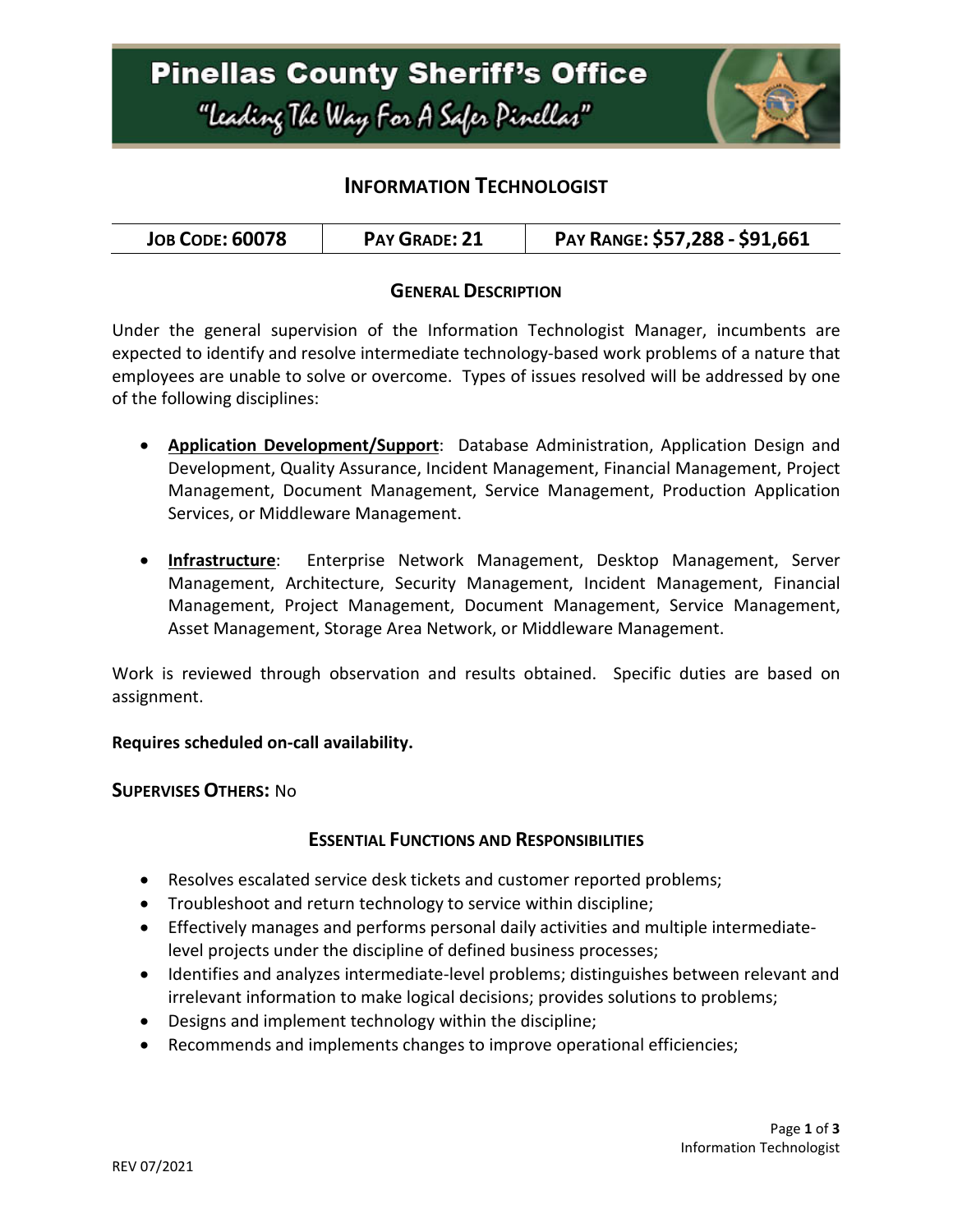

## **INFORMATION TECHNOLOGIST**

### **GENERAL DESCRIPTION**

Under the general supervision of the Information Technologist Manager, incumbents are expected to identify and resolve intermediate technology-based work problems of a nature that employees are unable to solve or overcome. Types of issues resolved will be addressed by one of the following disciplines:

- **Application Development/Support**: Database Administration, Application Design and Development, Quality Assurance, Incident Management, Financial Management, Project Management, Document Management, Service Management, Production Application Services, or Middleware Management.
- **Infrastructure**: Enterprise Network Management, Desktop Management, Server Management, Architecture, Security Management, Incident Management, Financial Management, Project Management, Document Management, Service Management, Asset Management, Storage Area Network, or Middleware Management.

Work is reviewed through observation and results obtained. Specific duties are based on assignment.

### **Requires scheduled on-call availability.**

**SUPERVISES OTHERS:** No

### **ESSENTIAL FUNCTIONS AND RESPONSIBILITIES**

- Resolves escalated service desk tickets and customer reported problems;
- Troubleshoot and return technology to service within discipline;
- Effectively manages and performs personal daily activities and multiple intermediatelevel projects under the discipline of defined business processes;
- Identifies and analyzes intermediate-level problems; distinguishes between relevant and irrelevant information to make logical decisions; provides solutions to problems;
- Designs and implement technology within the discipline;
- Recommends and implements changes to improve operational efficiencies;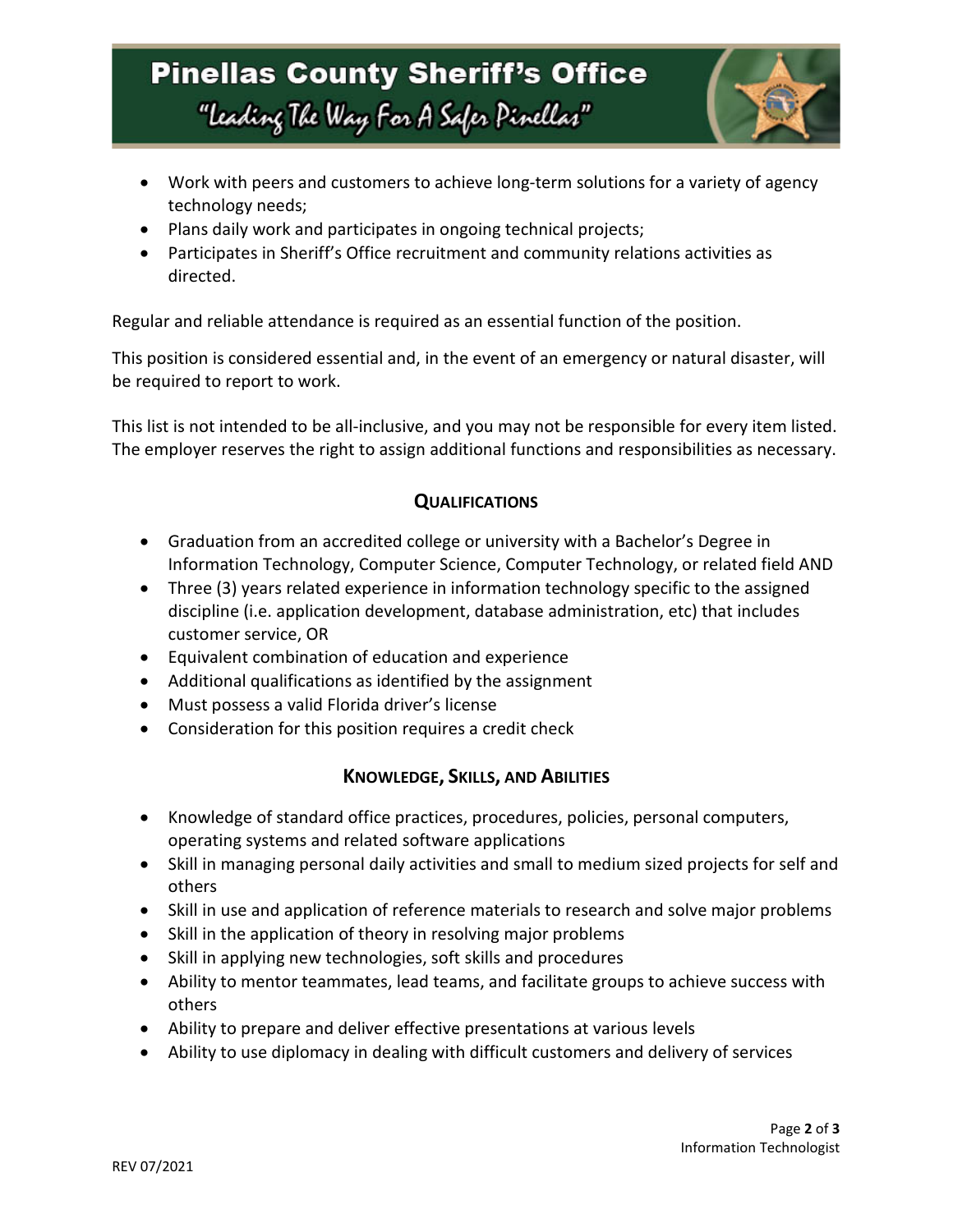# **Pinellas County Sheriff's Office** "Leading The Way For A Safer Pinellar"



- Work with peers and customers to achieve long-term solutions for a variety of agency technology needs;
- Plans daily work and participates in ongoing technical projects;
- Participates in Sheriff's Office recruitment and community relations activities as directed.

Regular and reliable attendance is required as an essential function of the position.

This position is considered essential and, in the event of an emergency or natural disaster, will be required to report to work.

This list is not intended to be all-inclusive, and you may not be responsible for every item listed. The employer reserves the right to assign additional functions and responsibilities as necessary.

### **QUALIFICATIONS**

- Graduation from an accredited college or university with a Bachelor's Degree in Information Technology, Computer Science, Computer Technology, or related field AND
- Three (3) years related experience in information technology specific to the assigned discipline (i.e. application development, database administration, etc) that includes customer service, OR
- Equivalent combination of education and experience
- Additional qualifications as identified by the assignment
- Must possess a valid Florida driver's license
- Consideration for this position requires a credit check

### **KNOWLEDGE, SKILLS, AND ABILITIES**

- Knowledge of standard office practices, procedures, policies, personal computers, operating systems and related software applications
- Skill in managing personal daily activities and small to medium sized projects for self and others
- Skill in use and application of reference materials to research and solve major problems
- Skill in the application of theory in resolving major problems
- Skill in applying new technologies, soft skills and procedures
- Ability to mentor teammates, lead teams, and facilitate groups to achieve success with others
- Ability to prepare and deliver effective presentations at various levels
- Ability to use diplomacy in dealing with difficult customers and delivery of services